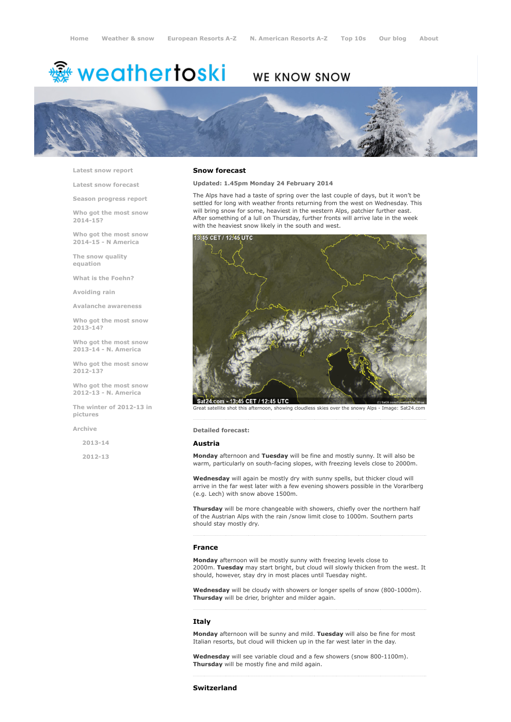# <del>鑾</del> weathertoski

# **WE KNOW SNOW**



Latest snow [report](http://www.weathertoski.co.uk/weather-snow/latest-snow-report/)

Latest snow [forecast](http://www.weathertoski.co.uk/weather-snow/latest-snow-forecast/)

Season [progress](http://www.weathertoski.co.uk/weather-snow/season-progress-report/) report

Who got the most snow 2014-15?

Who got the most snow 2014-15 - N America

The snow quality [equation](http://www.weathertoski.co.uk/weather-snow/the-snow-quality-equation/)

What is the [Foehn?](http://www.weathertoski.co.uk/weather-snow/what-is-the-foehn/)

[Avoiding](http://www.weathertoski.co.uk/weather-snow/avoiding-rain/) rain

Avalanche [awareness](http://www.weathertoski.co.uk/weather-snow/avalanche-awareness/)

Who got the most snow 2013-14?

Who got the most snow 2013-14 - N. America

Who got the most snow 2012-13?

Who got the most snow 2012-13 - N. America

The winter of 2012-13 in pictures

[Archive](http://www.weathertoski.co.uk/weather-snow/archive/)

2013-14

2012-13

#### Snow forecast

Updated: 1.45pm Monday 24 February 2014

The Alps have had a taste of spring over the last couple of days, but it won't be settled for long with weather fronts returning from the west on Wednesday. This will bring snow for some, heaviest in the western Alps, patchier further east. After something of a lull on Thursday, further fronts will arrive late in the week with the heaviest snow likely in the south and west.



Great satellite shot this afternoon, showing cloudless skies over the snowy Alps - Image: Sat24.com

Detailed forecast:

#### Austria

Monday afternoon and Tuesday will be fine and mostly sunny. It will also be warm, particularly on south-facing slopes, with freezing levels close to 2000m.

Wednesday will again be mostly dry with sunny spells, but thicker cloud will arrive in the far west later with a few evening showers possible in the Vorarlberg (e.g. Lech) with snow above 1500m.

Thursday will be more changeable with showers, chiefly over the northern half of the Austrian Alps with the rain /snow limit close to 1000m. Southern parts should stay mostly dry.

#### France

Monday afternoon will be mostly sunny with freezing levels close to 2000m. Tuesday may start bright, but cloud will slowly thicken from the west. It should, however, stay dry in most places until Tuesday night.

Wednesday will be cloudy with showers or longer spells of snow (800-1000m). Thursday will be drier, brighter and milder again.

### Italy

Monday afternoon will be sunny and mild. Tuesday will also be fine for most Italian resorts, but cloud will thicken up in the far west later in the day.

Wednesday will see variable cloud and a few showers (snow 800-1100m). Thursday will be mostly fine and mild again.

## Switzerland